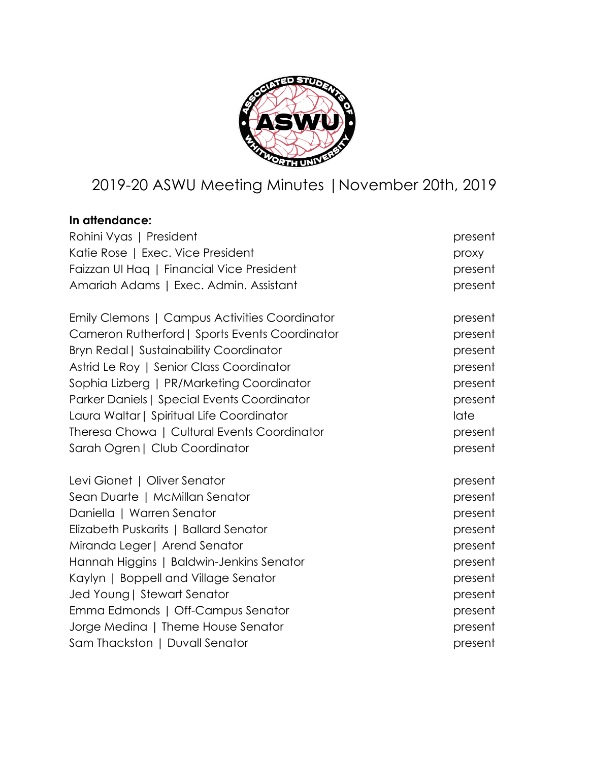

# 2019-20 ASWU Meeting Minutes |November 20th, 2019

# **In attendance:**

| Rohini Vyas   President                        | present |
|------------------------------------------------|---------|
| Katie Rose   Exec. Vice President              | proxy   |
| Faizzan UI Hag   Financial Vice President      | present |
| Amariah Adams   Exec. Admin. Assistant         | present |
| Emily Clemons   Campus Activities Coordinator  | present |
| Cameron Rutherford   Sports Events Coordinator | present |
| <b>Bryn Redal   Sustainability Coordinator</b> | present |
| Astrid Le Roy   Senior Class Coordinator       | present |
| Sophia Lizberg   PR/Marketing Coordinator      | present |
| Parker Daniels   Special Events Coordinator    | present |
| Laura Waltar   Spiritual Life Coordinator      | late    |
| Theresa Chowa   Cultural Events Coordinator    | present |
| Sarah Ogren   Club Coordinator                 | present |
| Levi Gionet   Oliver Senator                   | present |
| Sean Duarte   McMillan Senator                 | present |
| Daniella   Warren Senator                      | present |
| Elizabeth Puskarits   Ballard Senator          | present |
| Miranda Leger   Arend Senator                  | present |
| Hannah Higgins   Baldwin-Jenkins Senator       | present |
| Kaylyn   Boppell and Village Senator           | present |
| Jed Young   Stewart Senator                    | present |
| Emma Edmonds   Off-Campus Senator              | present |
| Jorge Medina   Theme House Senator             | present |
| Sam Thackston   Duvall Senator                 | present |
|                                                |         |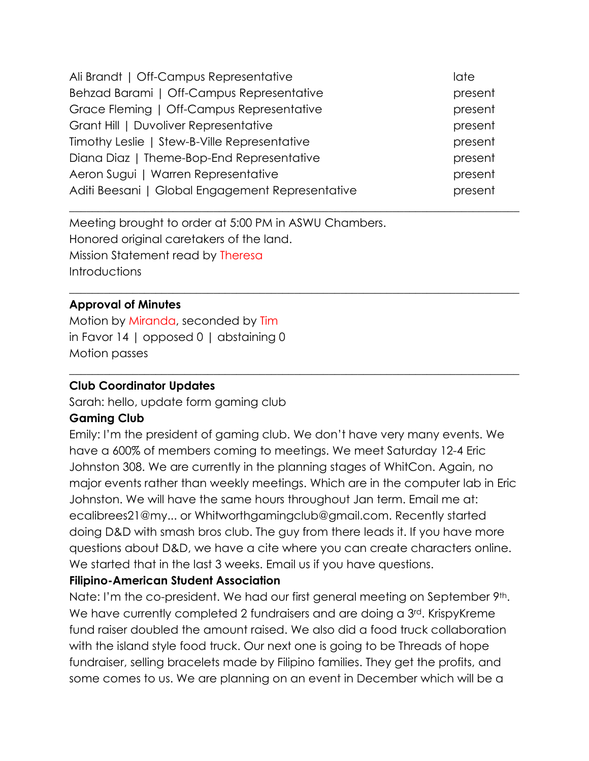| Ali Brandt   Off-Campus Representative           | late    |
|--------------------------------------------------|---------|
| Behzad Barami   Off-Campus Representative        | present |
| Grace Fleming   Off-Campus Representative        | present |
| Grant Hill   Duvoliver Representative            | present |
| Timothy Leslie   Stew-B-Ville Representative     | present |
| Diana Diaz   Theme-Bop-End Representative        | present |
| Aeron Sugui   Warren Representative              | present |
| Aditi Beesani   Global Engagement Representative | present |
|                                                  |         |

 $\_$  , and the set of the set of the set of the set of the set of the set of the set of the set of the set of the set of the set of the set of the set of the set of the set of the set of the set of the set of the set of th

 $\_$  , and the set of the set of the set of the set of the set of the set of the set of the set of the set of the set of the set of the set of the set of the set of the set of the set of the set of the set of the set of th

Meeting brought to order at 5:00 PM in ASWU Chambers. Honored original caretakers of the land. Mission Statement read by Theresa Introductions

#### **Approval of Minutes**

Motion by Miranda, seconded by Tim in Favor 14 | opposed 0 | abstaining 0 Motion passes

#### **Club Coordinator Updates**

Sarah: hello, update form gaming club

#### **Gaming Club**

Emily: I'm the president of gaming club. We don't have very many events. We have a 600% of members coming to meetings. We meet Saturday 12-4 Eric Johnston 308. We are currently in the planning stages of WhitCon. Again, no major events rather than weekly meetings. Which are in the computer lab in Eric Johnston. We will have the same hours throughout Jan term. Email me at: ecalibrees21@my... or Whitworthgamingclub@gmail.com. Recently started doing D&D with smash bros club. The guy from there leads it. If you have more questions about D&D, we have a cite where you can create characters online. We started that in the last 3 weeks. Email us if you have questions.

#### **Filipino-American Student Association**

Nate: I'm the co-president. We had our first general meeting on September 9th. We have currently completed 2 fundraisers and are doing a 3rd. KrispyKreme fund raiser doubled the amount raised. We also did a food truck collaboration with the island style food truck. Our next one is going to be Threads of hope fundraiser, selling bracelets made by Filipino families. They get the profits, and some comes to us. We are planning on an event in December which will be a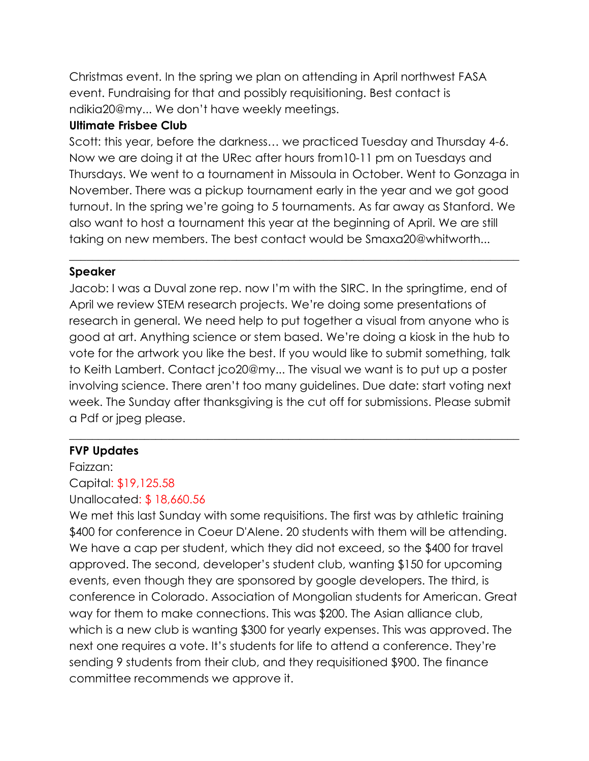Christmas event. In the spring we plan on attending in April northwest FASA event. Fundraising for that and possibly requisitioning. Best contact is ndikia20@my... We don't have weekly meetings.

#### **Ultimate Frisbee Club**

Scott: this year, before the darkness… we practiced Tuesday and Thursday 4-6. Now we are doing it at the URec after hours from10-11 pm on Tuesdays and Thursdays. We went to a tournament in Missoula in October. Went to Gonzaga in November. There was a pickup tournament early in the year and we got good turnout. In the spring we're going to 5 tournaments. As far away as Stanford. We also want to host a tournament this year at the beginning of April. We are still taking on new members. The best contact would be Smaxa20@whitworth...

 $\_$  , and the set of the set of the set of the set of the set of the set of the set of the set of the set of the set of the set of the set of the set of the set of the set of the set of the set of the set of the set of th

#### **Speaker**

Jacob: I was a Duval zone rep. now I'm with the SIRC. In the springtime, end of April we review STEM research projects. We're doing some presentations of research in general. We need help to put together a visual from anyone who is good at art. Anything science or stem based. We're doing a kiosk in the hub to vote for the artwork you like the best. If you would like to submit something, talk to Keith Lambert. Contact jco20@my... The visual we want is to put up a poster involving science. There aren't too many guidelines. Due date: start voting next week. The Sunday after thanksgiving is the cut off for submissions. Please submit a Pdf or jpeg please.

 $\_$  , and the set of the set of the set of the set of the set of the set of the set of the set of the set of the set of the set of the set of the set of the set of the set of the set of the set of the set of the set of th

## **FVP Updates**

#### Faizzan: Capital: \$19,125.58 Unallocated: \$ 18,660.56

We met this last Sunday with some requisitions. The first was by athletic training \$400 for conference in Coeur D'Alene. 20 students with them will be attending. We have a cap per student, which they did not exceed, so the \$400 for travel approved. The second, developer's student club, wanting \$150 for upcoming events, even though they are sponsored by google developers. The third, is conference in Colorado. Association of Mongolian students for American. Great way for them to make connections. This was \$200. The Asian alliance club, which is a new club is wanting \$300 for yearly expenses. This was approved. The next one requires a vote. It's students for life to attend a conference. They're sending 9 students from their club, and they requisitioned \$900. The finance committee recommends we approve it.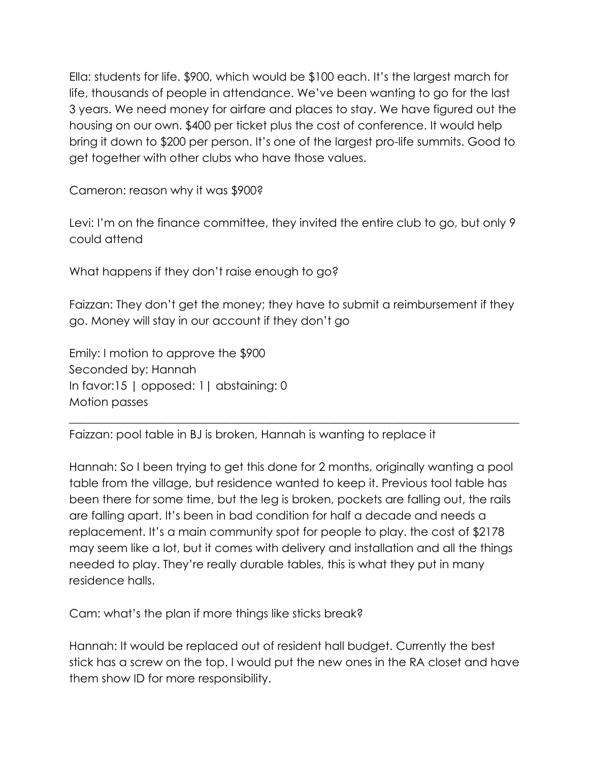Ella: students for life. \$900, which would be \$100 each. It's the largest march for life, thousands of people in attendance. We've been wanting to go for the last 3 years. We need money for airfare and places to stay. We have figured out the housing on our own. \$400 per ticket plus the cost of conference. It would help bring it down to \$200 per person. It's one of the largest pro-life summits. Good to get together with other clubs who have those values.

Cameron: reason why it was \$900?

Levi: I'm on the finance committee, they invited the entire club to go, but only 9 could attend

What happens if they don't raise enough to go?

Faizzan: They don't get the money; they have to submit a reimbursement if they go. Money will stay in our account if they don't go

Emily: I motion to approve the \$900 Seconded by: Hannah In favor:15 | opposed: 1| abstaining: 0 Motion passes

Faizzan: pool table in BJ is broken, Hannah is wanting to replace it

Hannah: So I been trying to get this done for 2 months, originally wanting a pool table from the village, but residence wanted to keep it. Previous tool table has been there for some time, but the leg is broken, pockets are falling out, the rails are falling apart. It's been in bad condition for half a decade and needs a replacement. It's a main community spot for people to play. the cost of \$2178 may seem like a lot, but it comes with delivery and installation and all the things needed to play. They're really durable tables, this is what they put in many residence halls.

 $\_$  , and the set of the set of the set of the set of the set of the set of the set of the set of the set of the set of the set of the set of the set of the set of the set of the set of the set of the set of the set of th

Cam: what's the plan if more things like sticks break?

Hannah: It would be replaced out of resident hall budget. Currently the best stick has a screw on the top. I would put the new ones in the RA closet and have them show ID for more responsibility.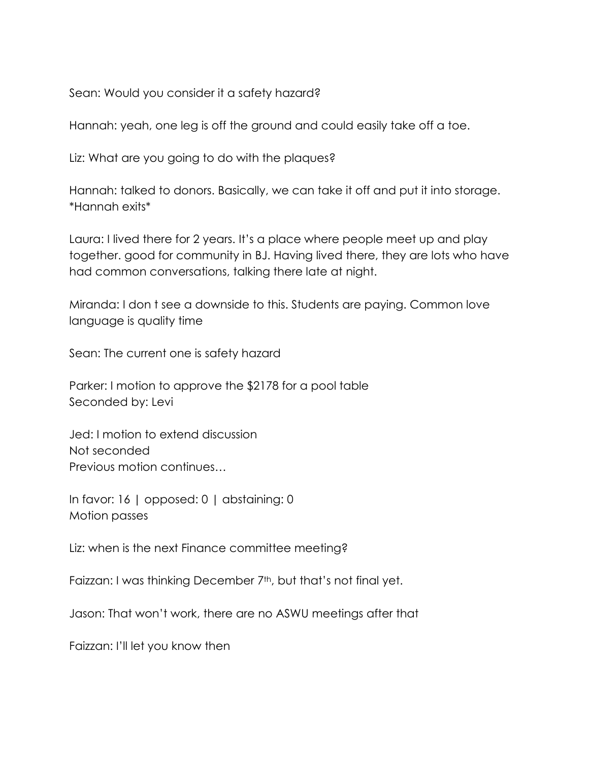Sean: Would you consider it a safety hazard?

Hannah: yeah, one leg is off the ground and could easily take off a toe.

Liz: What are you going to do with the plaques?

Hannah: talked to donors. Basically, we can take it off and put it into storage. \*Hannah exits\*

Laura: I lived there for 2 years. It's a place where people meet up and play together. good for community in BJ. Having lived there, they are lots who have had common conversations, talking there late at night.

Miranda: I don t see a downside to this. Students are paying. Common love language is quality time

Sean: The current one is safety hazard

Parker: I motion to approve the \$2178 for a pool table Seconded by: Levi

Jed: I motion to extend discussion Not seconded Previous motion continues…

In favor: 16 | opposed: 0 | abstaining: 0 Motion passes

Liz: when is the next Finance committee meeting?

Faizzan: I was thinking December 7<sup>th</sup>, but that's not final yet.

Jason: That won't work, there are no ASWU meetings after that

Faizzan: I'll let you know then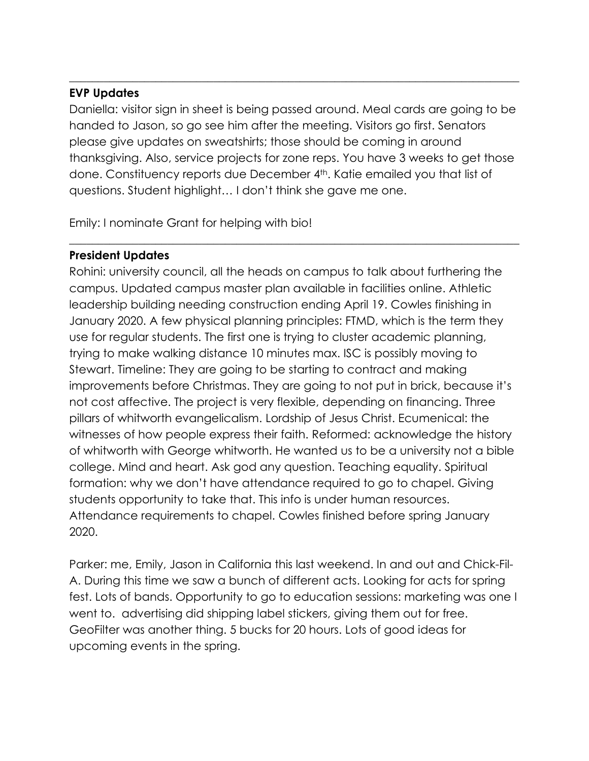#### **EVP Updates**

Daniella: visitor sign in sheet is being passed around. Meal cards are going to be handed to Jason, so go see him after the meeting. Visitors go first. Senators please give updates on sweatshirts; those should be coming in around thanksgiving. Also, service projects for zone reps. You have 3 weeks to get those done. Constituency reports due December 4th. Katie emailed you that list of questions. Student highlight… I don't think she gave me one.

 $\_$  , and the set of the set of the set of the set of the set of the set of the set of the set of the set of the set of the set of the set of the set of the set of the set of the set of the set of the set of the set of th

 $\_$  , and the set of the set of the set of the set of the set of the set of the set of the set of the set of the set of the set of the set of the set of the set of the set of the set of the set of the set of the set of th

Emily: I nominate Grant for helping with bio!

#### **President Updates**

Rohini: university council, all the heads on campus to talk about furthering the campus. Updated campus master plan available in facilities online. Athletic leadership building needing construction ending April 19. Cowles finishing in January 2020. A few physical planning principles: FTMD, which is the term they use for regular students. The first one is trying to cluster academic planning, trying to make walking distance 10 minutes max. ISC is possibly moving to Stewart. Timeline: They are going to be starting to contract and making improvements before Christmas. They are going to not put in brick, because it's not cost affective. The project is very flexible, depending on financing. Three pillars of whitworth evangelicalism. Lordship of Jesus Christ. Ecumenical: the witnesses of how people express their faith. Reformed: acknowledge the history of whitworth with George whitworth. He wanted us to be a university not a bible college. Mind and heart. Ask god any question. Teaching equality. Spiritual formation: why we don't have attendance required to go to chapel. Giving students opportunity to take that. This info is under human resources. Attendance requirements to chapel. Cowles finished before spring January 2020.

Parker: me, Emily, Jason in California this last weekend. In and out and Chick-Fil-A. During this time we saw a bunch of different acts. Looking for acts for spring fest. Lots of bands. Opportunity to go to education sessions: marketing was one I went to. advertising did shipping label stickers, giving them out for free. GeoFilter was another thing. 5 bucks for 20 hours. Lots of good ideas for upcoming events in the spring.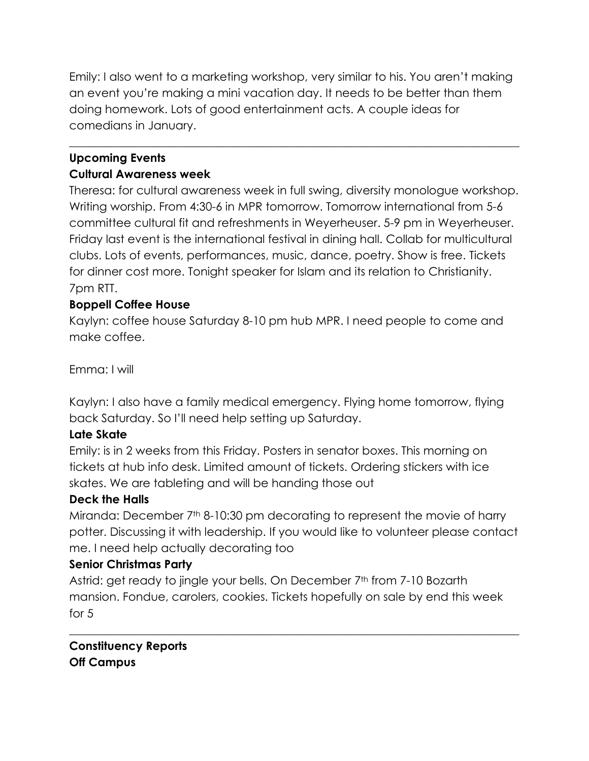Emily: I also went to a marketing workshop, very similar to his. You aren't making an event you're making a mini vacation day. It needs to be better than them doing homework. Lots of good entertainment acts. A couple ideas for comedians in January.

 $\_$  , and the set of the set of the set of the set of the set of the set of the set of the set of the set of the set of the set of the set of the set of the set of the set of the set of the set of the set of the set of th

# **Upcoming Events Cultural Awareness week**

Theresa: for cultural awareness week in full swing, diversity monologue workshop. Writing worship. From 4:30-6 in MPR tomorrow. Tomorrow international from 5-6 committee cultural fit and refreshments in Weyerheuser. 5-9 pm in Weyerheuser. Friday last event is the international festival in dining hall. Collab for multicultural clubs. Lots of events, performances, music, dance, poetry. Show is free. Tickets for dinner cost more. Tonight speaker for Islam and its relation to Christianity. 7pm RTT.

# **Boppell Coffee House**

Kaylyn: coffee house Saturday 8-10 pm hub MPR. I need people to come and make coffee.

Emma: I will

Kaylyn: I also have a family medical emergency. Flying home tomorrow, flying back Saturday. So I'll need help setting up Saturday.

## **Late Skate**

Emily: is in 2 weeks from this Friday. Posters in senator boxes. This morning on tickets at hub info desk. Limited amount of tickets. Ordering stickers with ice skates. We are tableting and will be handing those out

## **Deck the Halls**

Miranda: December 7<sup>th</sup> 8-10:30 pm decorating to represent the movie of harry potter. Discussing it with leadership. If you would like to volunteer please contact me. I need help actually decorating too

## **Senior Christmas Party**

Astrid: get ready to jingle your bells. On December 7<sup>th</sup> from 7-10 Bozarth mansion. Fondue, carolers, cookies. Tickets hopefully on sale by end this week for 5

 $\_$  , and the set of the set of the set of the set of the set of the set of the set of the set of the set of the set of the set of the set of the set of the set of the set of the set of the set of the set of the set of th

**Constituency Reports Off Campus**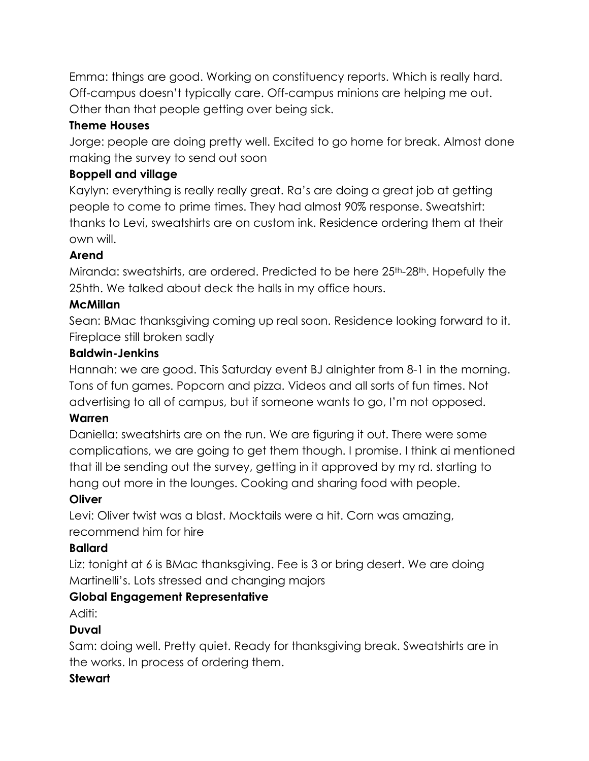Emma: things are good. Working on constituency reports. Which is really hard. Off-campus doesn't typically care. Off-campus minions are helping me out. Other than that people getting over being sick.

## **Theme Houses**

Jorge: people are doing pretty well. Excited to go home for break. Almost done making the survey to send out soon

## **Boppell and village**

Kaylyn: everything is really really great. Ra's are doing a great job at getting people to come to prime times. They had almost 90% response. Sweatshirt: thanks to Levi, sweatshirts are on custom ink. Residence ordering them at their own will.

## **Arend**

Miranda: sweatshirts, are ordered. Predicted to be here 25th-28th. Hopefully the 25hth. We talked about deck the halls in my office hours.

## **McMillan**

Sean: BMac thanksgiving coming up real soon. Residence looking forward to it. Fireplace still broken sadly

#### **Baldwin-Jenkins**

Hannah: we are good. This Saturday event BJ alnighter from 8-1 in the morning. Tons of fun games. Popcorn and pizza. Videos and all sorts of fun times. Not advertising to all of campus, but if someone wants to go, I'm not opposed.

## **Warren**

Daniella: sweatshirts are on the run. We are figuring it out. There were some complications, we are going to get them though. I promise. I think ai mentioned that ill be sending out the survey, getting in it approved by my rd. starting to hang out more in the lounges. Cooking and sharing food with people.

## **Oliver**

Levi: Oliver twist was a blast. Mocktails were a hit. Corn was amazing, recommend him for hire

## **Ballard**

Liz: tonight at 6 is BMac thanksgiving. Fee is 3 or bring desert. We are doing Martinelli's. Lots stressed and changing majors

## **Global Engagement Representative**

Aditi:

## **Duval**

Sam: doing well. Pretty quiet. Ready for thanksgiving break. Sweatshirts are in the works. In process of ordering them.

## **Stewart**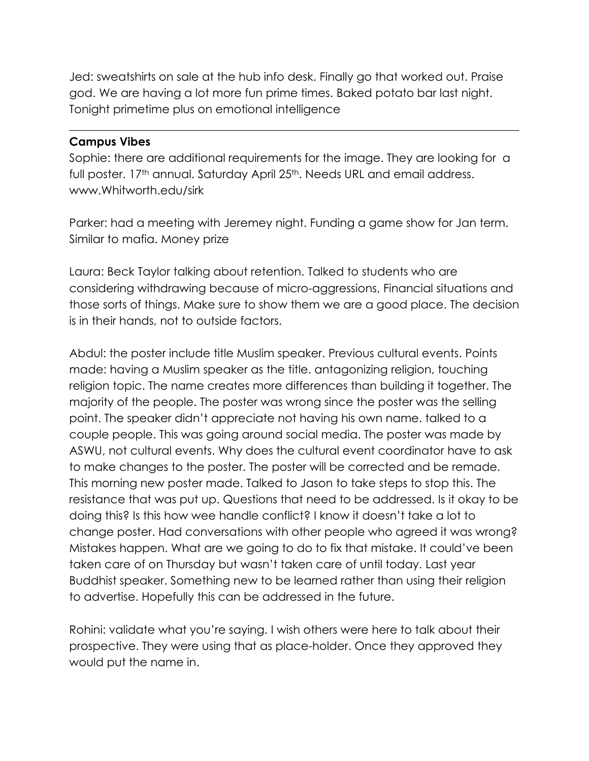Jed: sweatshirts on sale at the hub info desk. Finally go that worked out. Praise god. We are having a lot more fun prime times. Baked potato bar last night. Tonight primetime plus on emotional intelligence

#### **Campus Vibes**

Sophie: there are additional requirements for the image. They are looking for a full poster. 17<sup>th</sup> annual. Saturday April 25<sup>th</sup>. Needs URL and email address. www.Whitworth.edu/sirk

 $\_$  , and the set of the set of the set of the set of the set of the set of the set of the set of the set of the set of the set of the set of the set of the set of the set of the set of the set of the set of the set of th

Parker: had a meeting with Jeremey night. Funding a game show for Jan term. Similar to mafia. Money prize

Laura: Beck Taylor talking about retention. Talked to students who are considering withdrawing because of micro-aggressions, Financial situations and those sorts of things. Make sure to show them we are a good place. The decision is in their hands, not to outside factors.

Abdul: the poster include title Muslim speaker. Previous cultural events. Points made: having a Muslim speaker as the title. antagonizing religion, touching religion topic. The name creates more differences than building it together. The majority of the people. The poster was wrong since the poster was the selling point. The speaker didn't appreciate not having his own name. talked to a couple people. This was going around social media. The poster was made by ASWU, not cultural events. Why does the cultural event coordinator have to ask to make changes to the poster. The poster will be corrected and be remade. This morning new poster made. Talked to Jason to take steps to stop this. The resistance that was put up. Questions that need to be addressed. Is it okay to be doing this? Is this how wee handle conflict? I know it doesn't take a lot to change poster. Had conversations with other people who agreed it was wrong? Mistakes happen. What are we going to do to fix that mistake. It could've been taken care of on Thursday but wasn't taken care of until today. Last year Buddhist speaker. Something new to be learned rather than using their religion to advertise. Hopefully this can be addressed in the future.

Rohini: validate what you're saying. I wish others were here to talk about their prospective. They were using that as place-holder. Once they approved they would put the name in.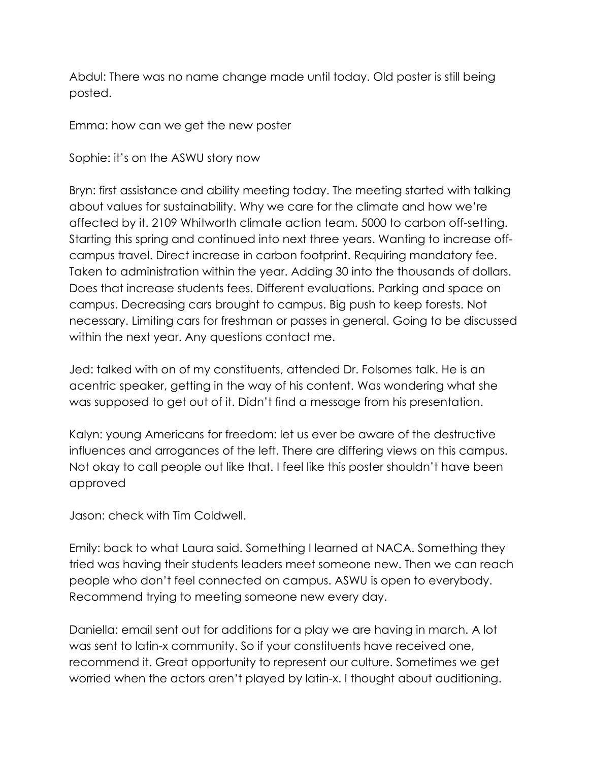Abdul: There was no name change made until today. Old poster is still being posted.

Emma: how can we get the new poster

Sophie: it's on the ASWU story now

Bryn: first assistance and ability meeting today. The meeting started with talking about values for sustainability. Why we care for the climate and how we're affected by it. 2109 Whitworth climate action team. 5000 to carbon off-setting. Starting this spring and continued into next three years. Wanting to increase offcampus travel. Direct increase in carbon footprint. Requiring mandatory fee. Taken to administration within the year. Adding 30 into the thousands of dollars. Does that increase students fees. Different evaluations. Parking and space on campus. Decreasing cars brought to campus. Big push to keep forests. Not necessary. Limiting cars for freshman or passes in general. Going to be discussed within the next year. Any questions contact me.

Jed: talked with on of my constituents, attended Dr. Folsomes talk. He is an acentric speaker, getting in the way of his content. Was wondering what she was supposed to get out of it. Didn't find a message from his presentation.

Kalyn: young Americans for freedom: let us ever be aware of the destructive influences and arrogances of the left. There are differing views on this campus. Not okay to call people out like that. I feel like this poster shouldn't have been approved

Jason: check with Tim Coldwell.

Emily: back to what Laura said. Something I learned at NACA. Something they tried was having their students leaders meet someone new. Then we can reach people who don't feel connected on campus. ASWU is open to everybody. Recommend trying to meeting someone new every day.

Daniella: email sent out for additions for a play we are having in march. A lot was sent to latin-x community. So if your constituents have received one, recommend it. Great opportunity to represent our culture. Sometimes we get worried when the actors aren't played by latin-x. I thought about auditioning.